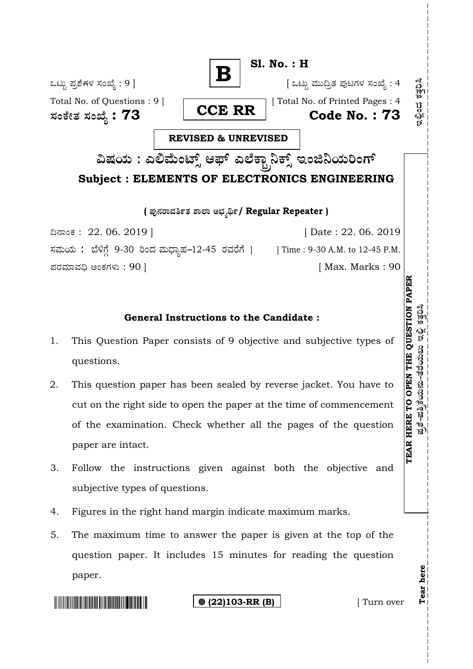

**( Æ⁄'¥´⁄¡¤»⁄~%}⁄ À¤≈¤ @∫⁄¥¿£%/ Regular Repeater )**

¶´¤MO⁄ : 22. 06. 2019 ] [ Date : 22. 06. 2019 ಸಮಯ: ಬೆಳಿಗ್ಗೆ 9-30 ರಿಂದ ಮಧ್ಯಾಹ-12-45 ರವರೆಗೆ ] [Time : 9-30 A.M. to 12-45 P.M. Æ⁄¡⁄»⁄·¤»⁄© @MO⁄V⁄◊⁄fl : 90 ] [ Max. Marks : 90

## **General Instructions to the Candidate :**

- 1. This Question Paper consists of 9 objective and subjective types of questions.
- 2. This question paper has been sealed by reverse jacket. You have to cut on the right side to open the paper at the time of commencement of the examination. Check whether all the pages of the question paper are intact.
- 3. Follow the instructions given against both the objective and subjective types of questions.
- 4. Figures in the right hand margin indicate maximum marks.
- 5. The maximum time to answer the paper is given at the top of the question paper. It includes 15 minutes for reading the question paper.

**(22)103-RR (B)** [ Turn over

**Tear here** 

Tear here

**TEAR HERE TO OPEN THE QUESTION PAPE**

ಪ್ರಶೆ–ಪತ್ರಿಕೆಯನು–ತೆರೆಯಲು ಇಲ್ಲಿ ಕತ್ತರಿಸಿ

**R**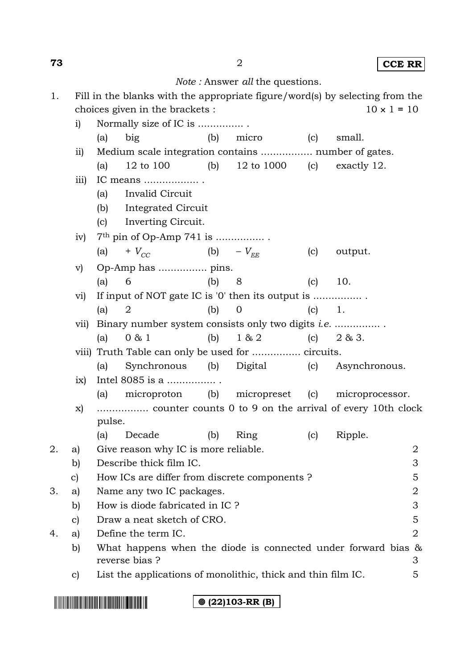**73** 2 **CCE RR**

| <i>Note</i> : Answer <i>all</i> the questions. |  |  |
|------------------------------------------------|--|--|
|------------------------------------------------|--|--|

| Fill in the blanks with the appropriate figure/word(s) by selecting from the |                    |
|------------------------------------------------------------------------------|--------------------|
| choices given in the brackets :                                              | $10 \times 1 = 10$ |

|    | i)              |        | Normally size of IC is                                           |     |              |     |               |   |
|----|-----------------|--------|------------------------------------------------------------------|-----|--------------|-----|---------------|---|
|    |                 | (a)    | big                                                              |     | (b) micro    | (c) | small.        |   |
|    | $\overline{11}$ |        | Medium scale integration contains  number of gates.              |     |              |     |               |   |
|    |                 | (a)    | 12 to 100 (b) 12 to 1000 (c)                                     |     |              |     | exactly 12.   |   |
|    | iii)            |        | IC means                                                         |     |              |     |               |   |
|    |                 | (a)    | Invalid Circuit                                                  |     |              |     |               |   |
|    |                 |        | (b) Integrated Circuit                                           |     |              |     |               |   |
|    |                 | (c)    | Inverting Circuit.                                               |     |              |     |               |   |
|    | iv)             |        | 7 <sup>th</sup> pin of Op-Amp 741 is                             |     |              |     |               |   |
|    |                 | (a)    | + $V_{CC}$ (b) - $V_{FE}$                                        |     |              | (c) | output.       |   |
|    | $\rm v)$        |        |                                                                  |     |              |     |               |   |
|    |                 | (a)    | 6                                                                | (b) | 8            | (c) | 10.           |   |
|    | $\rm{vi)}$      |        | If input of NOT gate IC is '0' then its output is                |     |              |     |               |   |
|    |                 | (a)    | 2                                                                | (b) | $\mathbf{0}$ |     | $(c) \t 1.$   |   |
|    | V11)            |        | Binary number system consists only two digits <i>i.e.</i>        |     |              |     |               |   |
|    |                 | (a)    | 0 & 1                                                            | (b) | 1 & 2        | (c) | 2 & 3.        |   |
|    |                 |        | viii) Truth Table can only be used for  circuits.                |     |              |     |               |   |
|    |                 | (a)    | Synchronous (b) Digital                                          |     |              | (c) | Asynchronous. |   |
|    | ix)             |        | Intel 8085 is a                                                  |     |              |     |               |   |
|    |                 | (a)    | microproton (b) micropreset (c) microprocessor.                  |     |              |     |               |   |
|    | X)              |        | counter counts 0 to 9 on the arrival of every 10th clock         |     |              |     |               |   |
|    |                 | pulse. |                                                                  |     |              |     |               |   |
|    |                 | (a)    | Decade                                                           | (b) | Ring         | (c) | Ripple.       |   |
| 2. | a)              |        | Give reason why IC is more reliable.                             |     |              |     |               | 2 |
|    | b)              |        | Describe thick film IC.                                          |     |              |     |               | 3 |
|    | $\mathbf{c}$    |        | How ICs are differ from discrete components ?                    |     |              |     |               | 5 |
| 3. | a)              |        | Name any two IC packages.                                        |     |              |     |               | 2 |
|    | b)              |        | How is diode fabricated in IC ?                                  |     |              |     |               | 3 |
|    | $\mathbf{c}$    |        | Draw a neat sketch of CRO.                                       |     |              |     |               | 5 |
| 4. | a)              |        | Define the term IC.                                              |     |              |     |               | 2 |
|    | b)              |        | What happens when the diode is connected under forward bias $\&$ |     |              |     |               |   |
|    |                 |        | reverse bias ?                                                   |     |              |     |               | 3 |
|    | $\mathbf{c})$   |        | List the applications of monolithic, thick and thin film IC.     |     |              |     |               | 5 |
|    |                 |        |                                                                  |     |              |     |               |   |

**(22)103-RR (B)**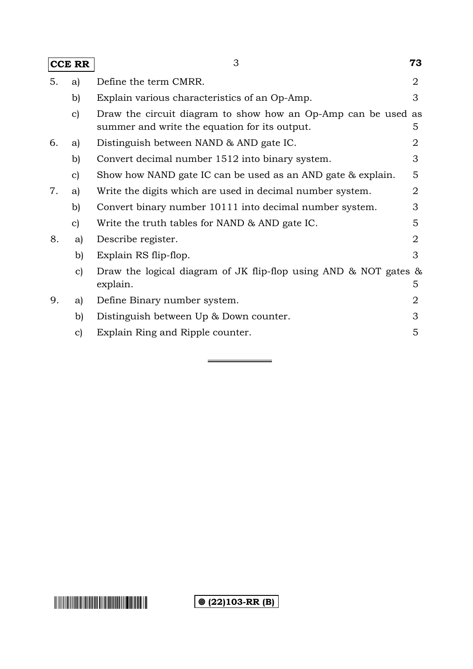|    | <b>CCE RR</b> | 3                                                                                                              | 73 |
|----|---------------|----------------------------------------------------------------------------------------------------------------|----|
| 5. | a)            | Define the term CMRR.                                                                                          | 2  |
|    | b)            | Explain various characteristics of an Op-Amp.                                                                  | 3  |
|    | $\mathbf{c}$  | Draw the circuit diagram to show how an Op-Amp can be used as<br>summer and write the equation for its output. | 5  |
| 6. | a)            | Distinguish between NAND & AND gate IC.                                                                        | 2  |
|    | b)            | Convert decimal number 1512 into binary system.                                                                | 3  |
|    | $\mathbf{c}$  | Show how NAND gate IC can be used as an AND gate & explain.                                                    | 5  |
| 7. | a)            | Write the digits which are used in decimal number system.                                                      | 2  |
|    | b)            | Convert binary number 10111 into decimal number system.                                                        | 3  |
|    | $\mathbf{c}$  | Write the truth tables for NAND & AND gate IC.                                                                 | 5  |
| 8. | a)            | Describe register.                                                                                             | 2  |
|    | b)            | Explain RS flip-flop.                                                                                          | 3  |
|    | $\mathbf{c}$  | Draw the logical diagram of JK flip-flop using AND $\&$ NOT gates $\&$<br>explain.                             | 5  |
| 9. | a)            | Define Binary number system.                                                                                   | 2  |
|    | b)            | Distinguish between Up & Down counter.                                                                         | 3  |
|    | $\mathbf{c})$ | Explain Ring and Ripple counter.                                                                               | 5  |

**(a)** (22) 103-RR (B)